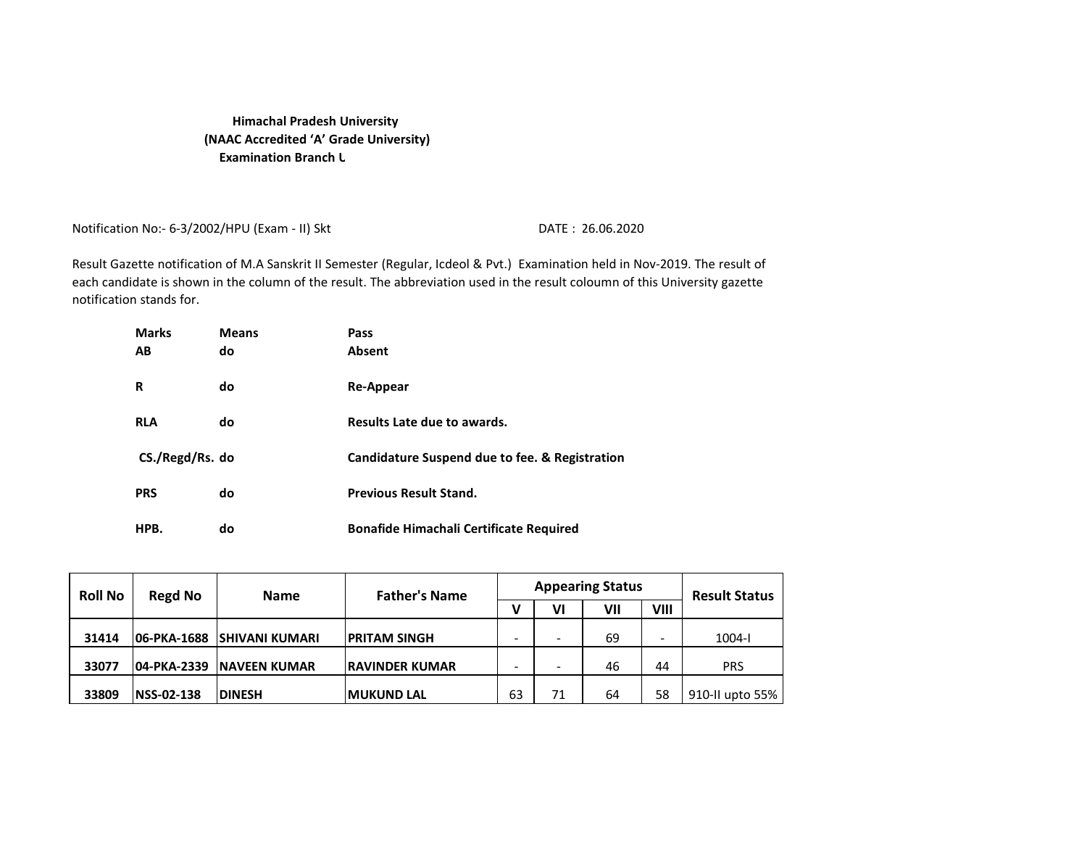## **Examination Branch U Himachal Pradesh University (NAAC Accredited 'A' Grade University)**

Notification No:- 6-3/2002/HPU (Exam - II) Skt DATE: 26.06.2020

Result Gazette notification of M.A Sanskrit II Semester (Regular, Icdeol & Pvt.) Examination held in Nov-2019. The result of each candidate is shown in the column of the result. The abbreviation used in the result coloumn of this University gazette notification stands for.

| <b>Marks</b>    | <b>Means</b> | Pass                                           |
|-----------------|--------------|------------------------------------------------|
| AВ              | do           | <b>Absent</b>                                  |
|                 |              |                                                |
| R               | do           | <b>Re-Appear</b>                               |
|                 |              |                                                |
| <b>RLA</b>      | do           | Results Late due to awards.                    |
|                 |              |                                                |
| CS./Regd/Rs. do |              | Candidature Suspend due to fee. & Registration |
|                 |              |                                                |
| <b>PRS</b>      | do           | <b>Previous Result Stand.</b>                  |
| HPB.            | do           | <b>Bonafide Himachali Certificate Required</b> |
|                 |              |                                                |

| <b>Roll No</b> | Regd No           | <b>Name</b>                   | <b>Father's Name</b>   |    |    | <b>Appearing Status</b> |      | <b>Result Status</b> |
|----------------|-------------------|-------------------------------|------------------------|----|----|-------------------------|------|----------------------|
|                |                   |                               |                        |    | ۷I | VII                     | VIII |                      |
| 31414          |                   | 106-PKA-1688  ISHIVANI KUMARI | <b>PRITAM SINGH</b>    |    |    | 69                      |      | $1004 - 1$           |
| 33077          | 04-PKA-2339       | <b>INAVEEN KUMAR</b>          | <b>IRAVINDER KUMAR</b> | -  |    | 46                      | 44   | PRS                  |
| 33809          | <b>NSS-02-138</b> | <b>DINESH</b>                 | <b>MUKUND LAL</b>      | 63 |    | 64                      | 58   | 910-II upto 55%      |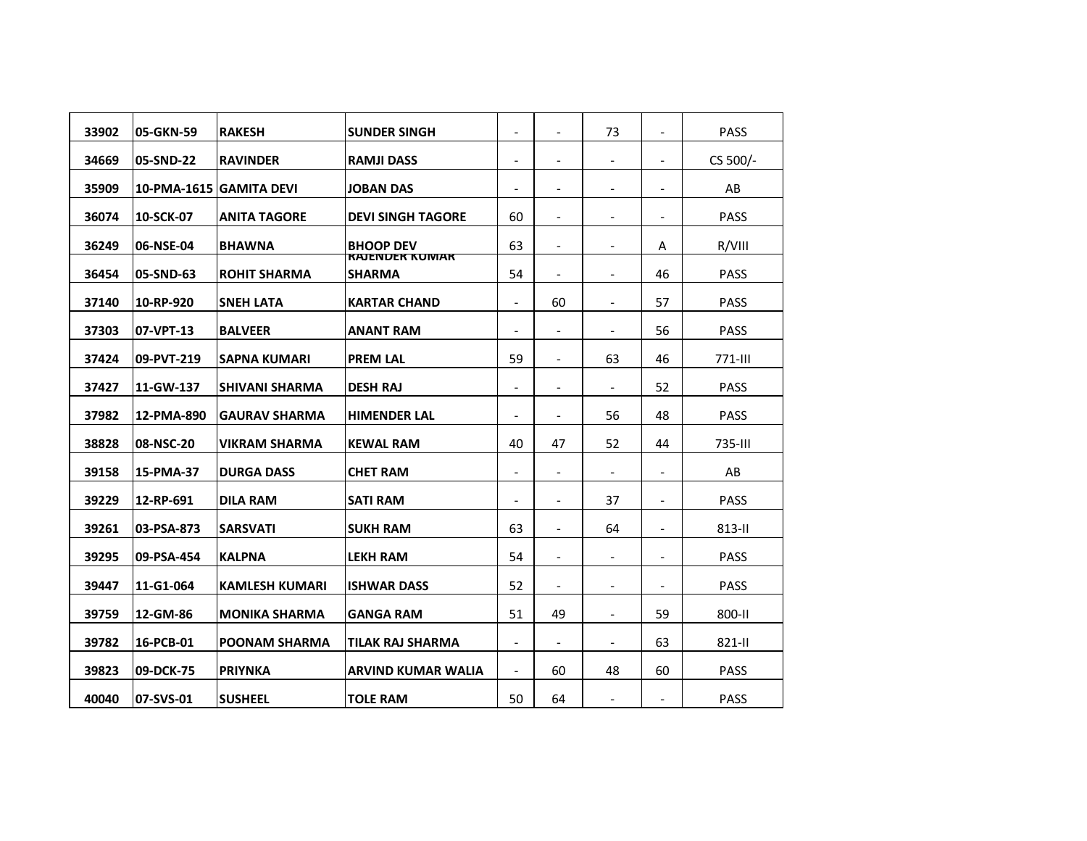| 33902 | 05-GKN-59  | <b>RAKESH</b>           | <b>SUNDER SINGH</b>                                | $\blacksquare$           | $\overline{\phantom{a}}$ | 73                       |                          | <b>PASS</b> |
|-------|------------|-------------------------|----------------------------------------------------|--------------------------|--------------------------|--------------------------|--------------------------|-------------|
| 34669 | 05-SND-22  | <b>RAVINDER</b>         | <b>RAMJI DASS</b>                                  | $\blacksquare$           |                          |                          |                          | CS 500/-    |
| 35909 |            | 10-PMA-1615 GAMITA DEVI | <b>JOBAN DAS</b>                                   | $\overline{\phantom{a}}$ | $\overline{\phantom{a}}$ | $\overline{\phantom{a}}$ | $\overline{\phantom{a}}$ | AB          |
| 36074 | 10-SCK-07  | <b>ANITA TAGORE</b>     | <b>DEVI SINGH TAGORE</b>                           | 60                       |                          |                          |                          | <b>PASS</b> |
| 36249 | 06-NSE-04  | <b>BHAWNA</b>           | <b>BHOOP DEV</b><br><b><i>RAJENDER KUIVIAR</i></b> | 63                       | $\overline{\phantom{a}}$ |                          | A                        | R/VIII      |
| 36454 | 05-SND-63  | <b>ROHIT SHARMA</b>     | SHARMA                                             | 54                       |                          |                          | 46                       | <b>PASS</b> |
| 37140 | 10-RP-920  | <b>SNEH LATA</b>        | <b>KARTAR CHAND</b>                                | $\overline{\phantom{a}}$ | 60                       | $\overline{\phantom{a}}$ | 57                       | <b>PASS</b> |
| 37303 | 07-VPT-13  | <b>BALVEER</b>          | ANANT RAM                                          | $\overline{\phantom{a}}$ |                          |                          | 56                       | <b>PASS</b> |
| 37424 | 09-PVT-219 | SAPNA KUMARI            | <b>PREM LAL</b>                                    | 59                       | $\overline{\phantom{a}}$ | 63                       | 46                       | $771 -$ III |
| 37427 | 11-GW-137  | <b>SHIVANI SHARMA</b>   | <b>DESH RAJ</b>                                    | $\blacksquare$           | $\overline{\phantom{a}}$ |                          | 52                       | <b>PASS</b> |
| 37982 | 12-PMA-890 | <b>GAURAV SHARMA</b>    | <b>HIMENDER LAL</b>                                | $\overline{\phantom{a}}$ | $\overline{\phantom{a}}$ | 56                       | 48                       | <b>PASS</b> |
| 38828 | 08-NSC-20  | <b>VIKRAM SHARMA</b>    | <b>KEWAL RAM</b>                                   | 40                       | 47                       | 52                       | 44                       | 735-III     |
| 39158 | 15-PMA-37  | <b>DURGA DASS</b>       | <b>CHET RAM</b>                                    | $\blacksquare$           | $\overline{\phantom{a}}$ |                          | $\overline{\phantom{a}}$ | AB          |
| 39229 | 12-RP-691  | <b>DILA RAM</b>         | <b>SATI RAM</b>                                    | $\overline{\phantom{a}}$ | $\overline{\phantom{a}}$ | 37                       |                          | <b>PASS</b> |
| 39261 | 03-PSA-873 | <b>SARSVATI</b>         | <b>SUKH RAM</b>                                    | 63                       | $\overline{\phantom{a}}$ | 64                       | $\overline{\phantom{a}}$ | $813 - 11$  |
| 39295 | 09-PSA-454 | <b>KALPNA</b>           | <b>LEKH RAM</b>                                    | 54                       | $\overline{\phantom{a}}$ |                          |                          | <b>PASS</b> |
| 39447 | 11-G1-064  | <b>KAMLESH KUMARI</b>   | ISHWAR DASS                                        | 52                       | $\overline{\phantom{a}}$ |                          | $\overline{\phantom{a}}$ | <b>PASS</b> |
| 39759 | 12-GM-86   | <b>MONIKA SHARMA</b>    | <b>GANGA RAM</b>                                   | 51                       | 49                       | $\overline{\phantom{a}}$ | 59                       | 800-II      |
| 39782 | 16-PCB-01  | <b>POONAM SHARMA</b>    | TILAK RAJ SHARMA                                   | $\overline{\phantom{a}}$ | $\overline{\phantom{a}}$ | $\overline{\phantom{a}}$ | 63                       | 821-II      |
| 39823 | 09-DCK-75  | <b>PRIYNKA</b>          | ARVIND KUMAR WALIA                                 | $\overline{\phantom{a}}$ | 60                       | 48                       | 60                       | <b>PASS</b> |
| 40040 | 07-SVS-01  | <b>SUSHEEL</b>          | <b>TOLE RAM</b>                                    | 50                       | 64                       |                          |                          | <b>PASS</b> |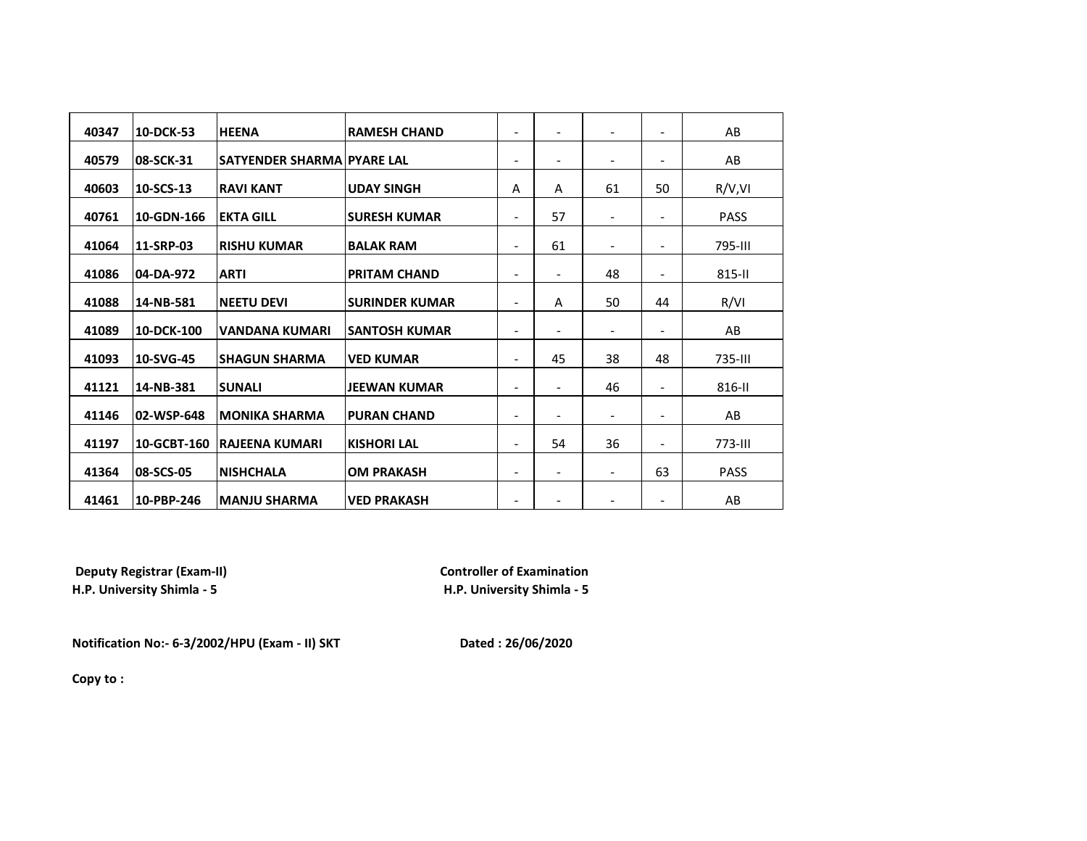| 40347 | 10-DCK-53   | <b>HEENA</b>               | <b>RAMESH CHAND</b>   | $\overline{\phantom{0}}$     | ٠                        | $\overline{\phantom{a}}$ | $\blacksquare$           | AB          |
|-------|-------------|----------------------------|-----------------------|------------------------------|--------------------------|--------------------------|--------------------------|-------------|
| 40579 | 08-SCK-31   | SATYENDER SHARMA PYARE LAL |                       | $\overline{\phantom{0}}$     | $\overline{\phantom{a}}$ | $\overline{\phantom{a}}$ | $\overline{\phantom{a}}$ | AB          |
| 40603 | 10-SCS-13   | <b>RAVI KANT</b>           | <b>UDAY SINGH</b>     | Α                            | A                        | 61                       | 50                       | R/V, VI     |
| 40761 | 10-GDN-166  | <b>EKTA GILL</b>           | <b>ISURESH KUMAR</b>  | $\overline{\phantom{0}}$     | 57                       | $\overline{\phantom{a}}$ | $\overline{\phantom{0}}$ | <b>PASS</b> |
| 41064 | 11-SRP-03   | <b>RISHU KUMAR</b>         | <b>BALAK RAM</b>      | $\overline{\phantom{0}}$     | 61                       | $\overline{\phantom{a}}$ | $\blacksquare$           | 795-III     |
| 41086 | 04-DA-972   | <b>ARTI</b>                | <b>PRITAM CHAND</b>   | $\qquad \qquad \blacksquare$ | $\overline{\phantom{a}}$ | 48                       | $\overline{\phantom{a}}$ | 815-II      |
| 41088 | 14-NB-581   | <b>NEETU DEVI</b>          | <b>SURINDER KUMAR</b> | $\overline{\phantom{0}}$     | Α                        | 50                       | 44                       | R/VI        |
| 41089 | 10-DCK-100  | <b>VANDANA KUMARI</b>      | <b>ISANTOSH KUMAR</b> | $\overline{\phantom{0}}$     | $\overline{\phantom{a}}$ | $\overline{\phantom{a}}$ | $\overline{\phantom{0}}$ | AB          |
| 41093 | 10-SVG-45   | <b>SHAGUN SHARMA</b>       | <b>VED KUMAR</b>      | $\overline{\phantom{0}}$     | 45                       | 38                       | 48                       | 735-III     |
| 41121 | 14-NB-381   | <b>SUNALI</b>              | <b>JEEWAN KUMAR</b>   | $\overline{\phantom{0}}$     | $\overline{\phantom{a}}$ | 46                       | $\blacksquare$           | 816-II      |
| 41146 | 02-WSP-648  | <b>MONIKA SHARMA</b>       | <b>PURAN CHAND</b>    | $\overline{\phantom{0}}$     | $\overline{\phantom{a}}$ | $\overline{\phantom{a}}$ | $\blacksquare$           | AB          |
| 41197 | 10-GCBT-160 | <b>RAJEENA KUMARI</b>      | <b>KISHORI LAL</b>    | -                            | 54                       | 36                       | $\overline{\phantom{a}}$ | 773-III     |
|       | 08-SCS-05   |                            |                       |                              |                          |                          |                          |             |
| 41364 |             | <b>NISHCHALA</b>           | <b>OM PRAKASH</b>     | $\overline{\phantom{0}}$     | $\overline{\phantom{a}}$ | $\overline{\phantom{a}}$ | 63                       | <b>PASS</b> |
| 41461 | 10-PBP-246  | <b>MANJU SHARMA</b>        | <b>VED PRAKASH</b>    | $\overline{\phantom{0}}$     | $\overline{\phantom{a}}$ | $\overline{\phantom{a}}$ | $\overline{\phantom{a}}$ | AB          |

**Deputy Registrar (Exam-II) Controller of Examination**<br>  **H.P. University Shimla - 5 CONTING THE REAM**<br> **CONTING THE REAM**<br> **H.P. University Shimla - 5** 

**H.P. University Shimla - 5 H.P. University Shimla - 5**

**Notification No:- 6-3/2002/HPU (Exam - II) SKT Dated : 26/06/2020**

**Copy to :**